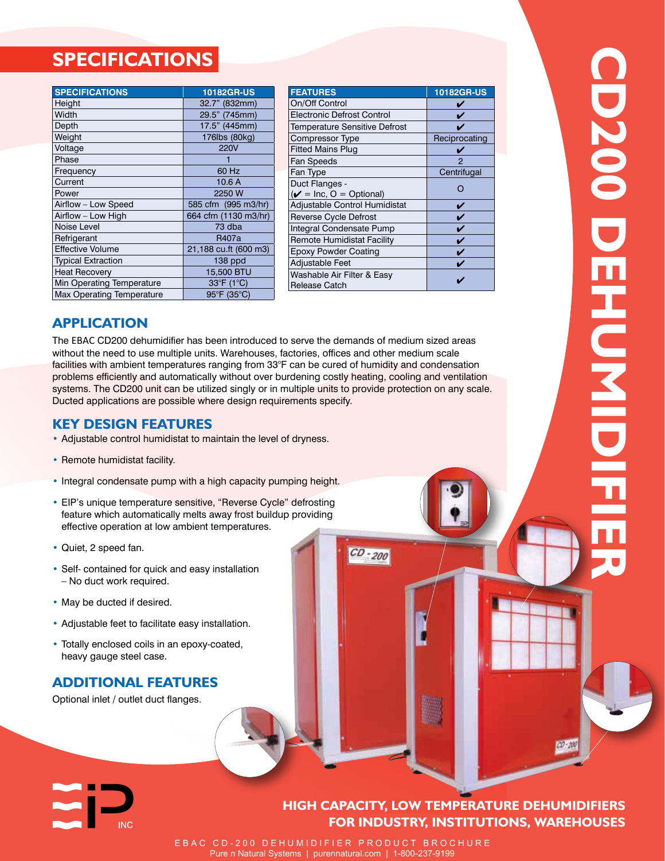# **SPECIFICATIONS**

| <b>SPECIFICATIONS</b>     | 10182GR-US            |
|---------------------------|-----------------------|
| Height                    | 32.7" (832mm)         |
| Width                     | 29.5" (745mm)         |
| Depth                     | 17.5" (445mm)         |
| Weight                    | 176lbs (80kg)         |
| Voltage                   | <b>220V</b>           |
| Phase                     |                       |
| Frequency                 | 60 Hz                 |
| Current                   | 10.6A                 |
| Power                     | 2250 W                |
| Airflow - Low Speed       | 585 cfm (995 m3/hr)   |
| Airflow - Low High        | 664 cfm (1130 m3/hr)  |
| Noise Level               | 73 dba                |
| Refrigerant               | R407a                 |
| <b>Effective Volume</b>   | 21,188 cu.ft (600 m3) |
| <b>Typical Extraction</b> | 138 ppd               |
| <b>Heat Recovery</b>      | 15,500 BTU            |
| Min Operating Temperature | 33°F (1°C)            |
| Max Operating Temperature | 95°F (35°C)           |

| <b>FEATURES</b>                           | 10182GR-US    |
|-------------------------------------------|---------------|
| On/Off Control                            |               |
| <b>Electronic Defrost Control</b>         |               |
| <b>Temperature Sensitive Defrost</b>      |               |
| <b>Compressor Type</b>                    | Reciprocating |
| <b>Fitted Mains Plug</b>                  |               |
| <b>Fan Speeds</b>                         | 2             |
| Fan Type                                  | Centrifugal   |
| Duct Flanges -                            | ∩             |
| $(\nu = \text{Inc}, 0 = \text{Optional})$ |               |
| Adjustable Control Humidistat             |               |
| <b>Reverse Cycle Defrost</b>              |               |
| Integral Condensate Pump                  | ŵ             |
| Remote Humidistat Facility                | v             |
| <b>Epoxy Powder Coating</b>               |               |
| <b>Adjustable Feet</b>                    |               |
| Washable Air Filter & Easy                |               |
| Release Catch                             |               |

**CD200 DEHUMIDIFIER**

CD200 DEHOMIDIEIEI

## **APPLICATION**

The EBAC CD200 dehumidifier has been introduced to serve the demands of medium sized areas without the need to use multiple units. Warehouses, factories, offices and other medium scale facilities with ambient temperatures ranging from 33°F can be cured of humidity and condensation problems efficiently and automatically without over burdening costly heating, cooling and ventilation systems. The CD200 unit can be utilized singly or in multiple units to provide protection on any scale. Ducted applications are possible where design requirements specify.

# **KEY DESIGN FEATURES**

- Adjustable control humidistat to maintain the level of dryness.
- Remote humidistat facility.
- Integral condensate pump with a high capacity pumping height.
- EIP's unique temperature sensitive, "Reverse Cycle" defrosting feature which automatically melts away frost buildup providing effective operation at low ambient temperatures.
- Quiet, 2 speed fan.
- Self- contained for quick and easy installation – No duct work required.
- May be ducted if desired.
- Adjustable feet to facilitate easy installation.
- Totally enclosed coils in an epoxy-coated, heavy gauge steel case.

# **Additional FEATURES**

Optional inlet / outlet duct flanges.

# **HIGH CAPACITY, LOW TEMPERATURE DEHUMIDIFIERS FOR INDUSTRY, INSTITUTIONS, warehouses**

 $0.00 - 200$ 

EBAC CD-200 DEHUMIDIFIER PRODUCT BROCHURE Pure n Natural Systems | purennatural.com | 1-800-237-9199

 $CD - 200$